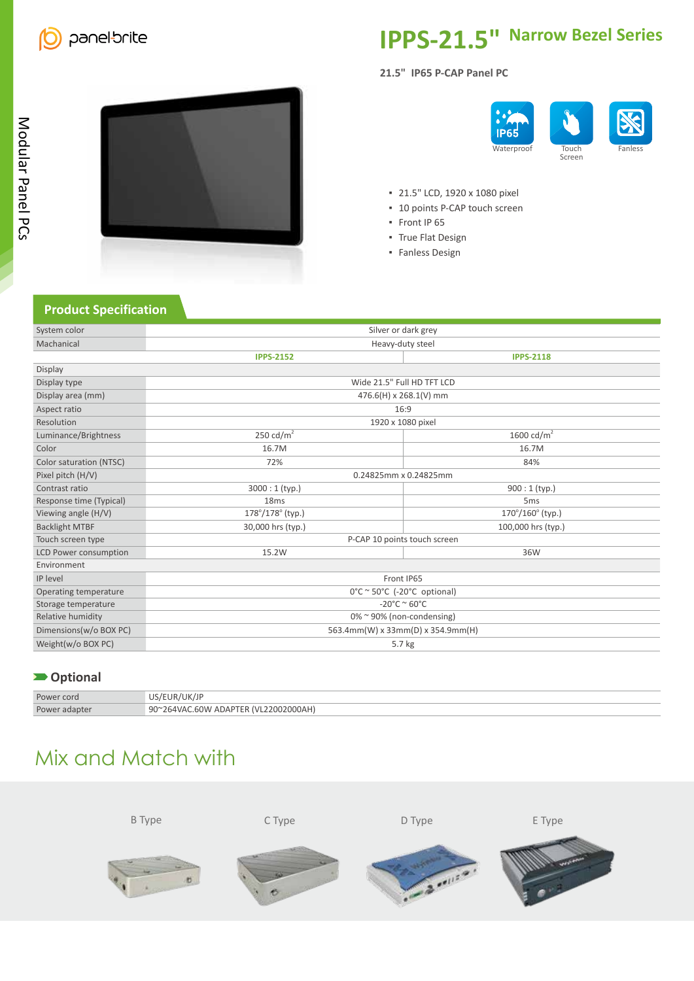

## **IPPS-21.5" Narrow Bezel Series**

**21.5" IP65 P-CAP Panel PC**



- 21.5" LCD, 1920 x 1080 pixel
- 10 points P-CAP touch screen
- Front IP 65
- True Flat Design
- Fanless Design



| System color                 | Silver or dark grey                   |                                  |  |  |  |  |  |
|------------------------------|---------------------------------------|----------------------------------|--|--|--|--|--|
| Machanical                   | Heavy-duty steel                      |                                  |  |  |  |  |  |
|                              | <b>IPPS-2152</b>                      | <b>IPPS-2118</b>                 |  |  |  |  |  |
| Display                      |                                       |                                  |  |  |  |  |  |
| Display type                 | Wide 21.5" Full HD TFT LCD            |                                  |  |  |  |  |  |
| Display area (mm)            |                                       | 476.6(H) x 268.1(V) mm           |  |  |  |  |  |
| Aspect ratio                 |                                       | 16:9                             |  |  |  |  |  |
| Resolution                   |                                       | 1920 x 1080 pixel                |  |  |  |  |  |
| Luminance/Brightness         | 250 $cd/m2$                           | 1600 $\text{cd/m}^2$             |  |  |  |  |  |
| Color                        | 16.7M                                 | 16.7M                            |  |  |  |  |  |
| Color saturation (NTSC)      | 72%                                   | 84%                              |  |  |  |  |  |
| Pixel pitch (H/V)            | 0.24825mm x 0.24825mm                 |                                  |  |  |  |  |  |
| Contrast ratio               | $3000:1$ (typ.)                       | $900:1$ (typ.)                   |  |  |  |  |  |
| Response time (Typical)      | 18 <sub>ms</sub>                      | 5 <sub>ms</sub>                  |  |  |  |  |  |
| Viewing angle (H/V)          | 178°/178° (typ.)                      | $170^{\circ}/160^{\circ}$ (typ.) |  |  |  |  |  |
| <b>Backlight MTBF</b>        | 30,000 hrs (typ.)                     | 100,000 hrs (typ.)               |  |  |  |  |  |
| Touch screen type            |                                       | P-CAP 10 points touch screen     |  |  |  |  |  |
| <b>LCD Power consumption</b> | 15.2W                                 | 36W                              |  |  |  |  |  |
| Environment                  |                                       |                                  |  |  |  |  |  |
| IP level                     | Front IP65                            |                                  |  |  |  |  |  |
| Operating temperature        | $0^{\circ}$ C ~ 50°C (-20°C optional) |                                  |  |  |  |  |  |
| Storage temperature          | $-20^{\circ}$ C ~ 60 $^{\circ}$ C     |                                  |  |  |  |  |  |
| Relative humidity            | $0\%$ ~ 90% (non-condensing)          |                                  |  |  |  |  |  |
| Dimensions(w/o BOX PC)       | 563.4mm(W) x 33mm(D) x 354.9mm(H)     |                                  |  |  |  |  |  |
| Weight(w/o BOX PC)           |                                       | 5.7 kg                           |  |  |  |  |  |
|                              |                                       |                                  |  |  |  |  |  |

## **Optional**

| Power cord    | UK/J'<br>$\overline{1}$<br>I IR /I<br>$\sqrt{2}$<br>7157F. |
|---------------|------------------------------------------------------------|
| Power adapte. | 22002000AH<br>90~264VAC<br>60W ADAPTER (VL´                |

## Mix and Match with